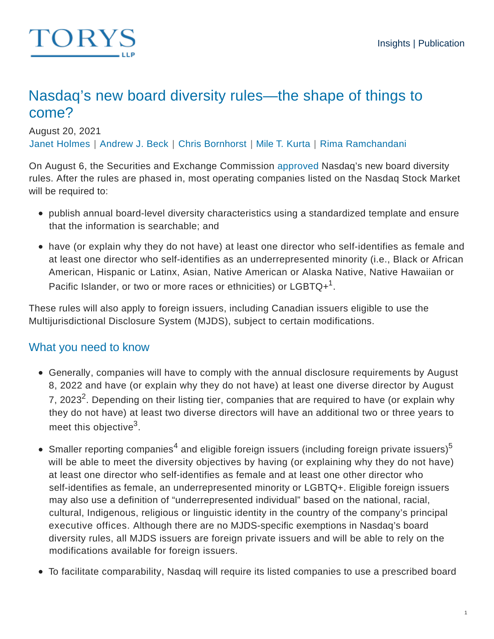

# Nasdaq's new board diversity rules—the shape of things to come?

August 20, 2021

Janet Holmes | Andrew J. Beck | Chris Bornhorst | Mile T. Kurta | Rima Ramchandani

On August 6, the Securities and Exchange Commission approved Nasdaq's new board diversity rules. After the rules are phased in, most operating companies listed on the Nasdaq Stock Market will be required to:

- publish annual board-level diversity characteristics using a standardized template and ensure that the information is searchable; and
- have (or explain why they do not have) at least one director who self-identifies as female and at least one director who self-identifies as an underrepresented minority (i.e., Black or African American, Hispanic or Latinx, Asian, Native American or Alaska Native, Native Hawaiian or Pacific Islander, or two or more races or ethnicities) or  ${\sf LGBTQ+}^1.$

These rules will also apply to foreign issuers, including Canadian issuers eligible to use the Multijurisdictional Disclosure System (MJDS), subject to certain modifications.

## What you need to know

- Generally, companies will have to comply with the annual disclosure requirements by August 8, 2022 and have (or explain why they do not have) at least one diverse director by August 7, 2023<sup>2</sup>. Depending on their listing tier, companies that are required to have (or explain why they do not have) at least two diverse directors will have an additional two or three years to meet this objective $^3$ .
- Smaller reporting companies<sup>4</sup> and eligible foreign issuers (including foreign private issuers)<sup>5</sup> will be able to meet the diversity objectives by having (or explaining why they do not have) at least one director who self-identifies as female and at least one other director who self-identifies as female, an underrepresented minority or LGBTQ+. Eligible foreign issuers may also use a definition of "underrepresented individual" based on the national, racial, cultural, Indigenous, religious or linguistic identity in the country of the company's principal executive offices. Although there are no MJDS-specific exemptions in Nasdaq's board diversity rules, all MJDS issuers are foreign private issuers and will be able to rely on the modifications available for foreign issuers.
- To facilitate comparability, Nasdaq will require its listed companies to use a prescribed board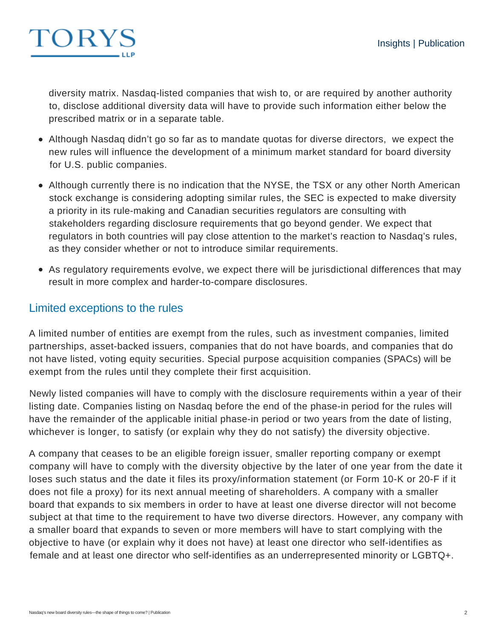

diversity matrix. Nasdaq-listed companies that wish to, or are required by another authority to, disclose additional diversity data will have to provide such information either below the prescribed matrix or in a separate table.

- Although Nasdaq didn't go so far as to mandate quotas for diverse directors, we expect the new rules will influence the development of a minimum market standard for board diversity for U.S. public companies.
- Although currently there is no indication that the NYSE, the TSX or any other North American stock exchange is considering adopting similar rules, the SEC is expected to make diversity a priority in its rule-making and Canadian securities regulators are consulting with stakeholders regarding disclosure requirements that go beyond gender. We expect that regulators in both countries will pay close attention to the market's reaction to Nasdaq's rules, as they consider whether or not to introduce similar requirements.
- As regulatory requirements evolve, we expect there will be jurisdictional differences that may result in more complex and harder-to-compare disclosures.

### Limited exceptions to the rules

A limited number of entities are exempt from the rules, such as investment companies, limited partnerships, asset-backed issuers, companies that do not have boards, and companies that do not have listed, voting equity securities. Special purpose acquisition companies (SPACs) will be exempt from the rules until they complete their first acquisition.

Newly listed companies will have to comply with the disclosure requirements within a year of their listing date. Companies listing on Nasdaq before the end of the phase-in period for the rules will have the remainder of the applicable initial phase-in period or two years from the date of listing, whichever is longer, to satisfy (or explain why they do not satisfy) the diversity objective.

A company that ceases to be an eligible foreign issuer, smaller reporting company or exempt company will have to comply with the diversity objective by the later of one year from the date it loses such status and the date it files its proxy/information statement (or Form 10-K or 20-F if it does not file a proxy) for its next annual meeting of shareholders. A company with a smaller board that expands to six members in order to have at least one diverse director will not become subject at that time to the requirement to have two diverse directors. However, any company with a smaller board that expands to seven or more members will have to start complying with the objective to have (or explain why it does not have) at least one director who self-identifies as female and at least one director who self-identifies as an underrepresented minority or LGBTQ+.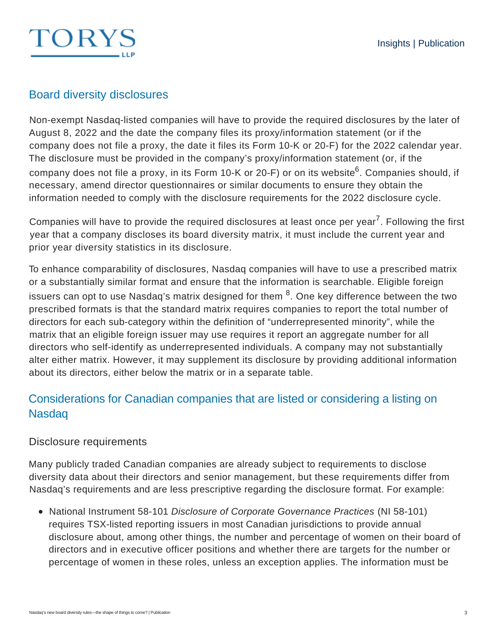# TORYS

# Board diversity disclosures

Non-exempt Nasdaq-listed companies will have to provide the required disclosures by the later of August 8, 2022 and the date the company files its proxy/information statement (or if the company does not file a proxy, the date it files its Form 10-K or 20-F) for the 2022 calendar year. The disclosure must be provided in the company's proxy/information statement (or, if the company does not file a proxy, in its Form 10-K or 20-F) or on its website<sup>6</sup>. Companies should, if necessary, amend director questionnaires or similar documents to ensure they obtain the information needed to comply with the disclosure requirements for the 2022 disclosure cycle.

Companies will have to provide the required disclosures at least once per year<sup>7</sup>. Following the first year that a company discloses its board diversity matrix, it must include the current year and prior year diversity statistics in its disclosure.

To enhance comparability of disclosures, Nasdaq companies will have to use a prescribed matrix or a substantially similar format and ensure that the information is searchable. Eligible foreign issuers can opt to use Nasdaq's matrix designed for them  $^8.$  One key difference between the two prescribed formats is that the standard matrix requires companies to report the total number of directors for each sub-category within the definition of "underrepresented minority", while the matrix that an eligible foreign issuer may use requires it report an aggregate number for all directors who self-identify as underrepresented individuals. A company may not substantially alter either matrix. However, it may supplement its disclosure by providing additional information about its directors, either below the matrix or in a separate table.

# Considerations for Canadian companies that are listed or considering a listing on Nasdaq

#### Disclosure requirements

Many publicly traded Canadian companies are already subject to requirements to disclose diversity data about their directors and senior management, but these requirements differ from Nasdaq's requirements and are less prescriptive regarding the disclosure format. For example:

• National Instrument 58-101 Disclosure of Corporate Governance Practices (NI 58-101) requires TSX-listed reporting issuers in most Canadian jurisdictions to provide annual disclosure about, among other things, the number and percentage of women on their board of directors and in executive officer positions and whether there are targets for the number or percentage of women in these roles, unless an exception applies. The information must be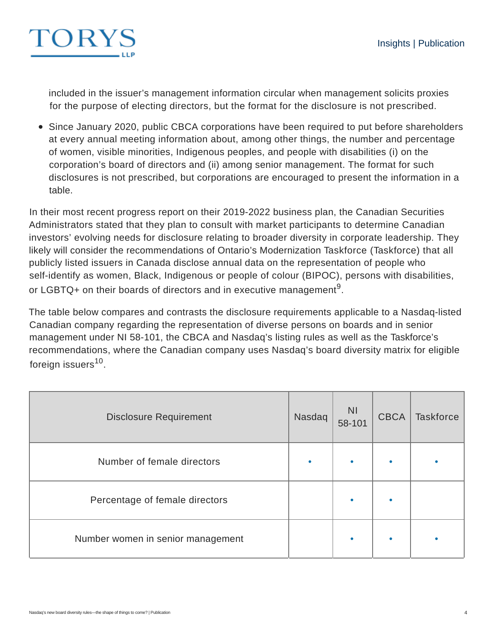

included in the issuer's management information circular when management solicits proxies for the purpose of electing directors, but the format for the disclosure is not prescribed.

Since January 2020, public CBCA corporations have been required to put before shareholders at every annual meeting information about, among other things, the number and percentage of women, visible minorities, Indigenous peoples, and people with disabilities (i) on the corporation's board of directors and (ii) among senior management. The format for such disclosures is not prescribed, but corporations are encouraged to present the information in a table.

In their most recent progress report on their 2019-2022 business plan, the Canadian Securities Administrators stated that they plan to consult with market participants to determine Canadian investors' evolving needs for disclosure relating to broader diversity in corporate leadership. They likely will consider the recommendations of Ontario's Modernization Taskforce (Taskforce) that all publicly listed issuers in Canada disclose annual data on the representation of people who self-identify as women, Black, Indigenous or people of colour (BIPOC), persons with disabilities, or LGBTQ+ on their boards of directors and in executive management<sup>9</sup>.

The table below compares and contrasts the disclosure requirements applicable to a Nasdaq-listed Canadian company regarding the representation of diverse persons on boards and in senior management under NI 58-101, the CBCA and Nasdaq's listing rules as well as the Taskforce's recommendations, where the Canadian company uses Nasdaq's board diversity matrix for eligible foreign issuers<sup>10</sup>.

| <b>Disclosure Requirement</b>     | Nasdaq | <b>NI</b><br>58-101 | <b>CBCA</b> | <b>Taskforce</b> |
|-----------------------------------|--------|---------------------|-------------|------------------|
| Number of female directors        |        | $\bullet$           |             |                  |
| Percentage of female directors    |        | $\bullet$           |             |                  |
| Number women in senior management |        | $\bullet$           |             |                  |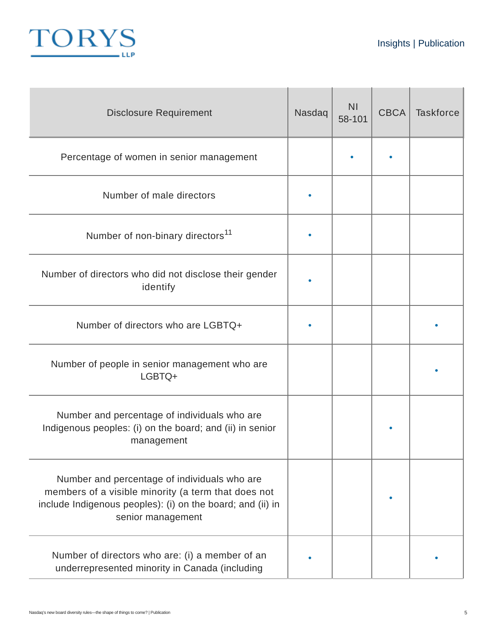

| <b>Disclosure Requirement</b>                                                                                                                                                          | Nasdaq | N <sub>1</sub><br>58-101 | <b>CBCA</b> | <b>Taskforce</b> |
|----------------------------------------------------------------------------------------------------------------------------------------------------------------------------------------|--------|--------------------------|-------------|------------------|
| Percentage of women in senior management                                                                                                                                               |        |                          |             |                  |
| Number of male directors                                                                                                                                                               |        |                          |             |                  |
| Number of non-binary directors <sup>11</sup>                                                                                                                                           |        |                          |             |                  |
| Number of directors who did not disclose their gender<br>identify                                                                                                                      |        |                          |             |                  |
| Number of directors who are LGBTQ+                                                                                                                                                     |        |                          |             |                  |
| Number of people in senior management who are<br>LGBTQ+                                                                                                                                |        |                          |             |                  |
| Number and percentage of individuals who are<br>Indigenous peoples: (i) on the board; and (ii) in senior<br>management                                                                 |        |                          |             |                  |
| Number and percentage of individuals who are<br>members of a visible minority (a term that does not<br>include Indigenous peoples): (i) on the board; and (ii) in<br>senior management |        |                          |             |                  |
| Number of directors who are: (i) a member of an<br>underrepresented minority in Canada (including                                                                                      |        |                          |             |                  |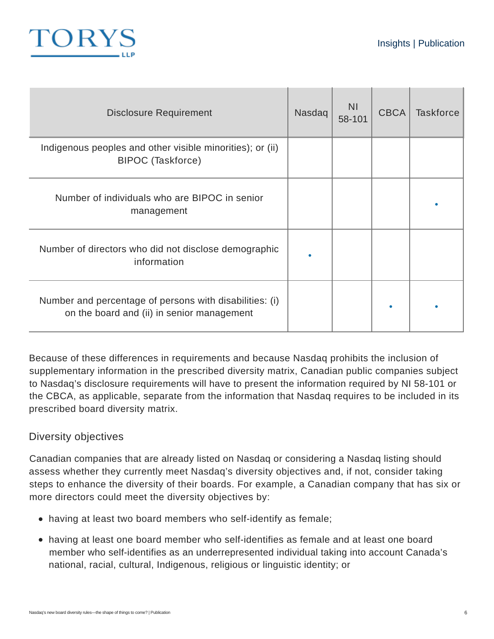

| <b>Disclosure Requirement</b>                                                                         | Nasdaq | <b>NI</b><br>58-101 | <b>CBCA</b> | <b>Taskforce</b> |
|-------------------------------------------------------------------------------------------------------|--------|---------------------|-------------|------------------|
| Indigenous peoples and other visible minorities); or (ii)<br>BIPOC (Taskforce)                        |        |                     |             |                  |
| Number of individuals who are BIPOC in senior<br>management                                           |        |                     |             |                  |
| Number of directors who did not disclose demographic<br>information                                   |        |                     |             |                  |
| Number and percentage of persons with disabilities: (i)<br>on the board and (ii) in senior management |        |                     |             |                  |

Because of these differences in requirements and because Nasdaq prohibits the inclusion of supplementary information in the prescribed diversity matrix, Canadian public companies subject to Nasdaq's disclosure requirements will have to present the information required by NI 58-101 or the CBCA, as applicable, separate from the information that Nasdaq requires to be included in its prescribed board diversity matrix.

#### Diversity objectives

Canadian companies that are already listed on Nasdaq or considering a Nasdaq listing should assess whether they currently meet Nasdaq's diversity objectives and, if not, consider taking steps to enhance the diversity of their boards. For example, a Canadian company that has six or more directors could meet the diversity objectives by:

- having at least two board members who self-identify as female;
- having at least one board member who self-identifies as female and at least one board member who self-identifies as an underrepresented individual taking into account Canada's national, racial, cultural, Indigenous, religious or linguistic identity; or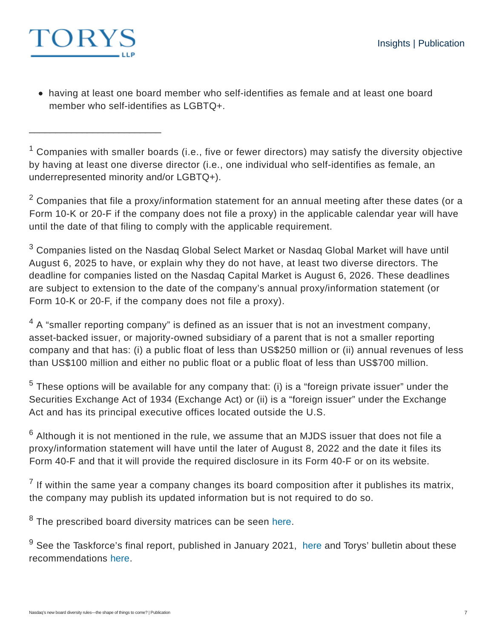

\_\_\_\_\_\_\_\_\_\_\_\_\_\_\_\_\_\_\_\_\_\_\_\_\_

having at least one board member who self-identifies as female and at least one board member who self-identifies as LGBTQ+.

 $1$  Companies with smaller boards (i.e., five or fewer directors) may satisfy the diversity objective by having at least one diverse director (i.e., one individual who self-identifies as female, an underrepresented minority and/or LGBTQ+).

 $2$  Companies that file a proxy/information statement for an annual meeting after these dates (or a Form 10-K or 20-F if the company does not file a proxy) in the applicable calendar year will have until the date of that filing to comply with the applicable requirement.

 $^3$  Companies listed on the Nasdaq Global Select Market or Nasdaq Global Market will have until August 6, 2025 to have, or explain why they do not have, at least two diverse directors. The deadline for companies listed on the Nasdaq Capital Market is August 6, 2026. These deadlines are subject to extension to the date of the company's annual proxy/information statement (or Form 10-K or 20-F, if the company does not file a proxy).

 $4\,$  A "smaller reporting company" is defined as an issuer that is not an investment company, asset-backed issuer, or majority-owned subsidiary of a parent that is not a smaller reporting company and that has: (i) a public float of less than US\$250 million or (ii) annual revenues of less than US\$100 million and either no public float or a public float of less than US\$700 million.

 $^5$  These options will be available for any company that: (i) is a "foreign private issuer" under the Securities Exchange Act of 1934 (Exchange Act) or (ii) is a "foreign issuer" under the Exchange Act and has its principal executive offices located outside the U.S.

 $^6$  Although it is not mentioned in the rule, we assume that an MJDS issuer that does not file a proxy/information statement will have until the later of August 8, 2022 and the date it files its Form 40-F and that it will provide the required disclosure in its Form 40-F or on its website.

 $^7$  If within the same year a company changes its board composition after it publishes its matrix, the company may publish its updated information but is not required to do so.

 $8$  The prescribed board diversity matrices can be seen here.

 $^9$  See the Taskforce's final report, published in January 2021, here and Torys' bulletin about these recommendations here.